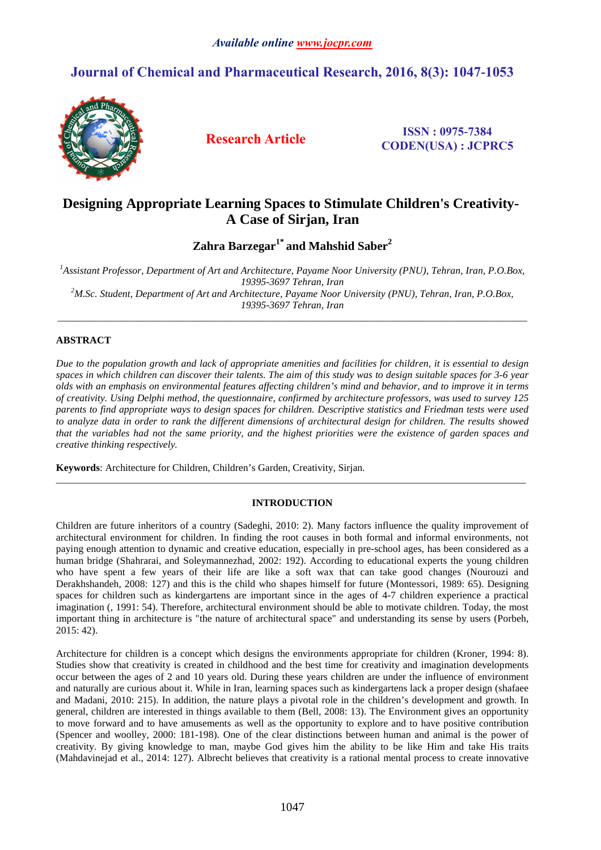# **Journal of Chemical and Pharmaceutical Research, 2016, 8(3): 1047-1053**



**Research Article ISSN : 0975-<sup>7384</sup> CODEN(USA) : JCPRC5**

# **Designing Appropriate Learning Spaces to Stimulate Children's Creativity-A Case of Sirjan, Iran**

**Zahra Barzegar1\* and Mahshid Saber<sup>2</sup>**

*<sup>1</sup>Assistant Professor, Department of Art and Architecture, Payame Noor University (PNU), Tehran, Iran, P.O.Box, 19395-3697 Tehran, Iran <sup>2</sup>M.Sc. Student, Department of Art and Architecture, Payame Noor University (PNU), Tehran, Iran, P.O.Box,* 

*19395-3697 Tehran, Iran*  \_\_\_\_\_\_\_\_\_\_\_\_\_\_\_\_\_\_\_\_\_\_\_\_\_\_\_\_\_\_\_\_\_\_\_\_\_\_\_\_\_\_\_\_\_\_\_\_\_\_\_\_\_\_\_\_\_\_\_\_\_\_\_\_\_\_\_\_\_\_\_\_\_\_\_\_\_\_\_\_\_\_\_\_\_\_\_\_\_\_\_\_\_

## **ABSTRACT**

*Due to the population growth and lack of appropriate amenities and facilities for children, it is essential to design spaces in which children can discover their talents. The aim of this study was to design suitable spaces for 3-6 year olds with an emphasis on environmental features affecting children's mind and behavior, and to improve it in terms of creativity. Using Delphi method, the questionnaire, confirmed by architecture professors, was used to survey 125 parents to find appropriate ways to design spaces for children. Descriptive statistics and Friedman tests were used to analyze data in order to rank the different dimensions of architectural design for children. The results showed that the variables had not the same priority, and the highest priorities were the existence of garden spaces and creative thinking respectively.* 

**Keywords**: Architecture for Children, Children's Garden, Creativity, Sirjan.

## **INTRODUCTION**

 $\overline{a_1}$  ,  $\overline{a_2}$  ,  $\overline{a_3}$  ,  $\overline{a_4}$  ,  $\overline{a_5}$  ,  $\overline{a_6}$  ,  $\overline{a_7}$  ,  $\overline{a_8}$  ,  $\overline{a_9}$  ,  $\overline{a_9}$  ,  $\overline{a_9}$  ,  $\overline{a_9}$  ,  $\overline{a_9}$  ,  $\overline{a_9}$  ,  $\overline{a_9}$  ,  $\overline{a_9}$  ,  $\overline{a_9}$  ,

Children are future inheritors of a country (Sadeghi, 2010: 2). Many factors influence the quality improvement of architectural environment for children. In finding the root causes in both formal and informal environments, not paying enough attention to dynamic and creative education, especially in pre-school ages, has been considered as a human bridge (Shahrarai, and Soleymannezhad, 2002: 192). According to educational experts the young children who have spent a few years of their life are like a soft wax that can take good changes (Nourouzi and Derakhshandeh, 2008: 127) and this is the child who shapes himself for future (Montessori, 1989: 65). Designing spaces for children such as kindergartens are important since in the ages of 4-7 children experience a practical imagination (, 1991: 54). Therefore, architectural environment should be able to motivate children. Today, the most important thing in architecture is "the nature of architectural space" and understanding its sense by users (Porbeh, 2015: 42).

Architecture for children is a concept which designs the environments appropriate for children (Kroner, 1994: 8). Studies show that creativity is created in childhood and the best time for creativity and imagination developments occur between the ages of 2 and 10 years old. During these years children are under the influence of environment and naturally are curious about it. While in Iran, learning spaces such as kindergartens lack a proper design (shafaee and Madani, 2010: 215). In addition, the nature plays a pivotal role in the children's development and growth. In general, children are interested in things available to them (Bell, 2008: 13). The Environment gives an opportunity to move forward and to have amusements as well as the opportunity to explore and to have positive contribution (Spencer and woolley, 2000: 181-198). One of the clear distinctions between human and animal is the power of creativity. By giving knowledge to man, maybe God gives him the ability to be like Him and take His traits (Mahdavinejad et al., 2014: 127). Albrecht believes that creativity is a rational mental process to create innovative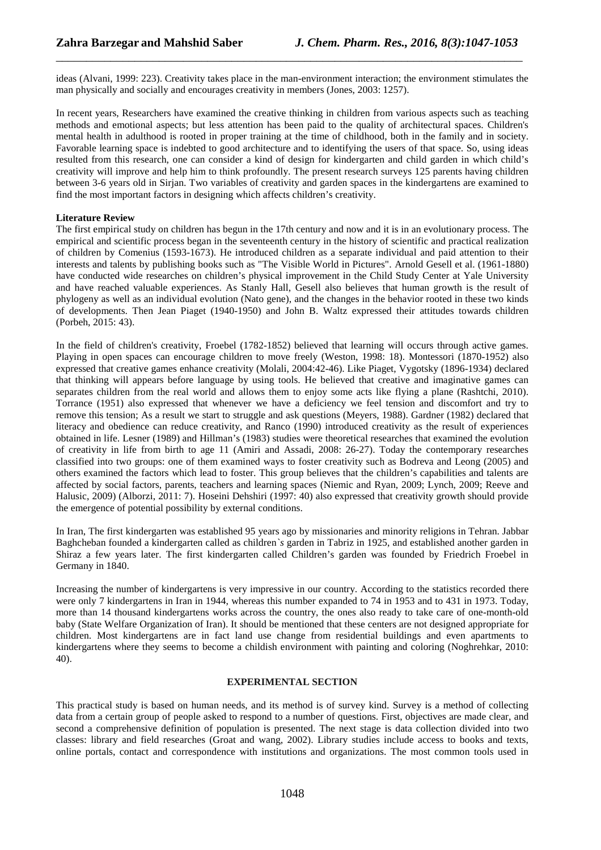ideas (Alvani, 1999: 223). Creativity takes place in the man-environment interaction; the environment stimulates the man physically and socially and encourages creativity in members (Jones, 2003: 1257).

\_\_\_\_\_\_\_\_\_\_\_\_\_\_\_\_\_\_\_\_\_\_\_\_\_\_\_\_\_\_\_\_\_\_\_\_\_\_\_\_\_\_\_\_\_\_\_\_\_\_\_\_\_\_\_\_\_\_\_\_\_\_\_\_\_\_\_\_\_\_\_\_\_\_\_\_\_

In recent years, Researchers have examined the creative thinking in children from various aspects such as teaching methods and emotional aspects; but less attention has been paid to the quality of architectural spaces. Children's mental health in adulthood is rooted in proper training at the time of childhood, both in the family and in society. Favorable learning space is indebted to good architecture and to identifying the users of that space. So, using ideas resulted from this research, one can consider a kind of design for kindergarten and child garden in which child's creativity will improve and help him to think profoundly. The present research surveys 125 parents having children between 3-6 years old in Sirjan. Two variables of creativity and garden spaces in the kindergartens are examined to find the most important factors in designing which affects children's creativity.

### **Literature Review**

The first empirical study on children has begun in the 17th century and now and it is in an evolutionary process. The empirical and scientific process began in the seventeenth century in the history of scientific and practical realization of children by Comenius (1593-1673). He introduced children as a separate individual and paid attention to their interests and talents by publishing books such as "The Visible World in Pictures". Arnold Gesell et al. (1961-1880) have conducted wide researches on children's physical improvement in the Child Study Center at Yale University and have reached valuable experiences. As Stanly Hall, Gesell also believes that human growth is the result of phylogeny as well as an individual evolution (Nato gene), and the changes in the behavior rooted in these two kinds of developments. Then Jean Piaget (1940-1950) and John B. Waltz expressed their attitudes towards children (Porbeh, 2015: 43).

In the field of children's creativity, Froebel (1782-1852) believed that learning will occurs through active games. Playing in open spaces can encourage children to move freely (Weston, 1998: 18). Montessori (1870-1952) also expressed that creative games enhance creativity (Molali, 2004:42-46). Like Piaget, Vygotsky (1896-1934) declared that thinking will appears before language by using tools. He believed that creative and imaginative games can separates children from the real world and allows them to enjoy some acts like flying a plane (Rashtchi, 2010). Torrance (1951) also expressed that whenever we have a deficiency we feel tension and discomfort and try to remove this tension; As a result we start to struggle and ask questions (Meyers, 1988). Gardner (1982) declared that literacy and obedience can reduce creativity, and Ranco (1990) introduced creativity as the result of experiences obtained in life. Lesner (1989) and Hillman's (1983) studies were theoretical researches that examined the evolution of creativity in life from birth to age 11 (Amiri and Assadi, 2008: 26-27). Today the contemporary researches classified into two groups: one of them examined ways to foster creativity such as Bodreva and Leong (2005) and others examined the factors which lead to foster. This group believes that the children's capabilities and talents are affected by social factors, parents, teachers and learning spaces (Niemic and Ryan, 2009; Lynch, 2009; Reeve and Halusic, 2009) (Alborzi, 2011: 7). Hoseini Dehshiri (1997: 40) also expressed that creativity growth should provide the emergence of potential possibility by external conditions.

In Iran, The first kindergarten was established 95 years ago by missionaries and minority religions in Tehran. Jabbar Baghcheban founded a kindergarten called as children*`s* garden in Tabriz in 1925, and established another garden in Shiraz a few years later. The first kindergarten called Children's garden was founded by Friedrich Froebel in Germany in 1840.

Increasing the number of kindergartens is very impressive in our country. According to the statistics recorded there were only 7 kindergartens in Iran in 1944, whereas this number expanded to 74 in 1953 and to 431 in 1973. Today, more than 14 thousand kindergartens works across the country, the ones also ready to take care of one-month-old baby (State Welfare Organization of Iran). It should be mentioned that these centers are not designed appropriate for children. Most kindergartens are in fact land use change from residential buildings and even apartments to kindergartens where they seems to become a childish environment with painting and coloring (Noghrehkar, 2010: 40).

### **EXPERIMENTAL SECTION**

This practical study is based on human needs, and its method is of survey kind. Survey is a method of collecting data from a certain group of people asked to respond to a number of questions. First, objectives are made clear, and second a comprehensive definition of population is presented. The next stage is data collection divided into two classes: library and field researches (Groat and wang, 2002). Library studies include access to books and texts, online portals, contact and correspondence with institutions and organizations. The most common tools used in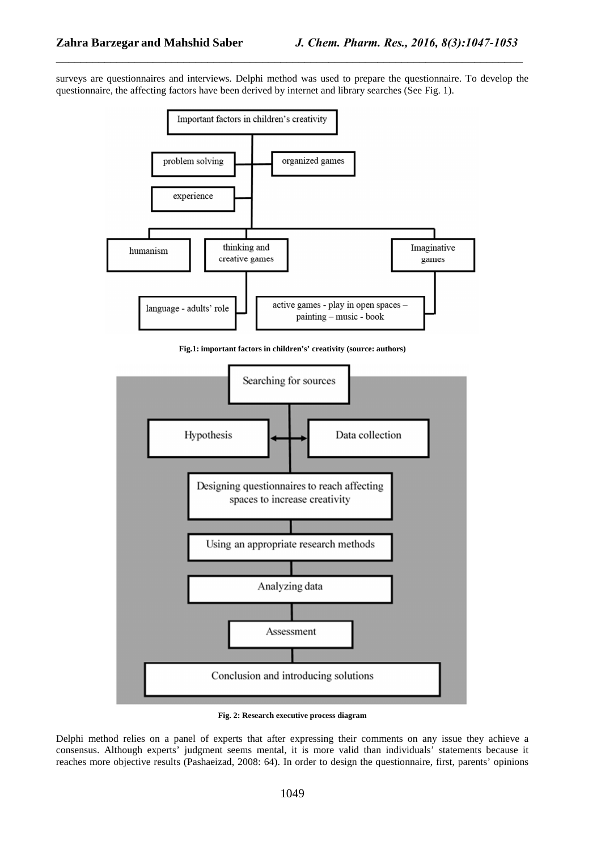surveys are questionnaires and interviews. Delphi method was used to prepare the questionnaire. To develop the questionnaire, the affecting factors have been derived by internet and library searches (See Fig. 1).

\_\_\_\_\_\_\_\_\_\_\_\_\_\_\_\_\_\_\_\_\_\_\_\_\_\_\_\_\_\_\_\_\_\_\_\_\_\_\_\_\_\_\_\_\_\_\_\_\_\_\_\_\_\_\_\_\_\_\_\_\_\_\_\_\_\_\_\_\_\_\_\_\_\_\_\_\_



**Fig.1: important factors in children's' creativity (source: authors)** 



**Fig. 2: Research executive process diagram** 

Delphi method relies on a panel of experts that after expressing their comments on any issue they achieve a consensus. Although experts' judgment seems mental, it is more valid than individuals' statements because it reaches more objective results (Pashaeizad, 2008: 64). In order to design the questionnaire, first, parents' opinions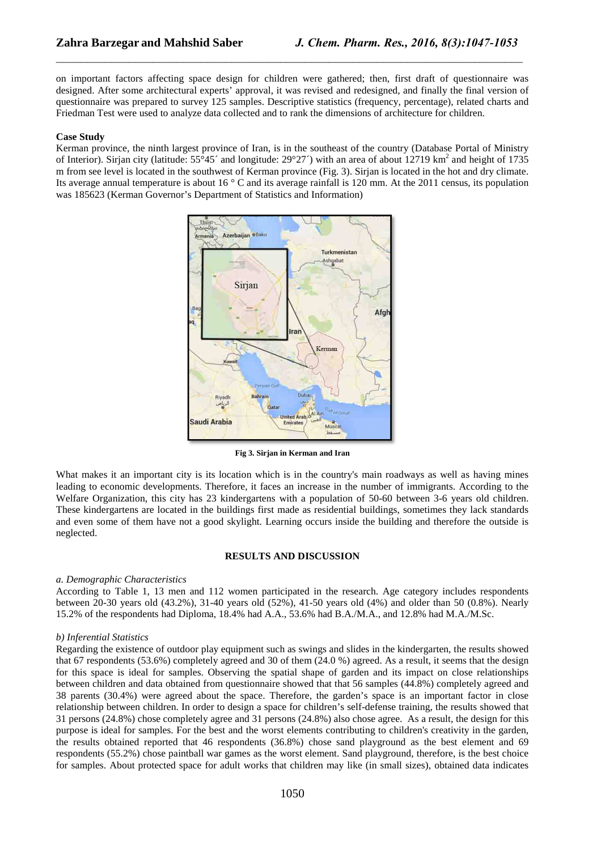on important factors affecting space design for children were gathered; then, first draft of questionnaire was designed. After some architectural experts' approval, it was revised and redesigned, and finally the final version of questionnaire was prepared to survey 125 samples. Descriptive statistics (frequency, percentage), related charts and Friedman Test were used to analyze data collected and to rank the dimensions of architecture for children.

\_\_\_\_\_\_\_\_\_\_\_\_\_\_\_\_\_\_\_\_\_\_\_\_\_\_\_\_\_\_\_\_\_\_\_\_\_\_\_\_\_\_\_\_\_\_\_\_\_\_\_\_\_\_\_\_\_\_\_\_\_\_\_\_\_\_\_\_\_\_\_\_\_\_\_\_\_

#### **Case Study**

Kerman province, the ninth largest province of Iran, is in the southeast of the country (Database Portal of Ministry of Interior). Sirjan city (latitude:  $55^{\circ}45'$  and longitude:  $29^{\circ}27'$ ) with an area of about 12719 km<sup>2</sup> and height of 1735 m from see level is located in the southwest of Kerman province (Fig. 3). Sirjan is located in the hot and dry climate. Its average annual temperature is about 16 ° C and its average rainfall is 120 mm. At the 2011 census, its population was 185623 (Kerman Governor's Department of Statistics and Information)



**Fig 3. Sirjan in Kerman and Iran**

What makes it an important city is its location which is in the country's main roadways as well as having mines leading to economic developments. Therefore, it faces an increase in the number of immigrants. According to the Welfare Organization, this city has 23 kindergartens with a population of 50-60 between 3-6 years old children. These kindergartens are located in the buildings first made as residential buildings, sometimes they lack standards and even some of them have not a good skylight. Learning occurs inside the building and therefore the outside is neglected.

#### **RESULTS AND DISCUSSION**

#### *a. Demographic Characteristics*

According to Table 1, 13 men and 112 women participated in the research. Age category includes respondents between 20-30 years old (43.2%), 31-40 years old (52%), 41-50 years old (4%) and older than 50 (0.8%). Nearly 15.2% of the respondents had Diploma, 18.4% had A.A., 53.6% had B.A./M.A., and 12.8% had M.A./M.Sc.

#### *b) Inferential Statistics*

Regarding the existence of outdoor play equipment such as swings and slides in the kindergarten, the results showed that 67 respondents (53.6%) completely agreed and 30 of them (24.0 %) agreed. As a result, it seems that the design for this space is ideal for samples. Observing the spatial shape of garden and its impact on close relationships between children and data obtained from questionnaire showed that that 56 samples (44.8%) completely agreed and 38 parents (30.4%) were agreed about the space. Therefore, the garden's space is an important factor in close relationship between children. In order to design a space for children's self-defense training, the results showed that 31 persons (24.8%) chose completely agree and 31 persons (24.8%) also chose agree. As a result, the design for this purpose is ideal for samples. For the best and the worst elements contributing to children's creativity in the garden, the results obtained reported that 46 respondents (36.8%) chose sand playground as the best element and 69 respondents (55.2%) chose paintball war games as the worst element. Sand playground, therefore, is the best choice for samples. About protected space for adult works that children may like (in small sizes), obtained data indicates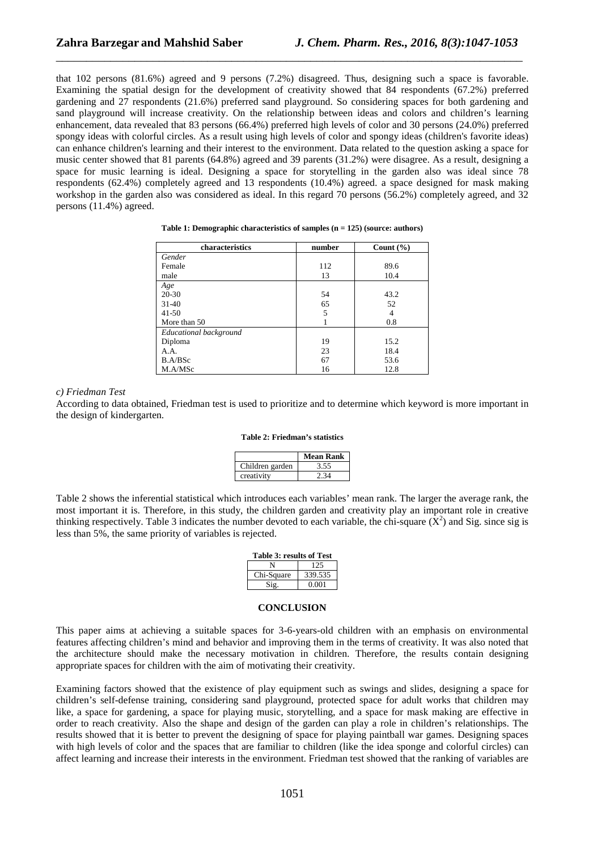that 102 persons (81.6%) agreed and 9 persons (7.2%) disagreed. Thus, designing such a space is favorable. Examining the spatial design for the development of creativity showed that 84 respondents (67.2%) preferred gardening and 27 respondents (21.6%) preferred sand playground. So considering spaces for both gardening and sand playground will increase creativity. On the relationship between ideas and colors and children's learning enhancement, data revealed that 83 persons (66.4%) preferred high levels of color and 30 persons (24.0%) preferred spongy ideas with colorful circles. As a result using high levels of color and spongy ideas (children's favorite ideas) can enhance children's learning and their interest to the environment. Data related to the question asking a space for music center showed that 81 parents (64.8%) agreed and 39 parents (31.2%) were disagree. As a result, designing a space for music learning is ideal. Designing a space for storytelling in the garden also was ideal since 78 respondents (62.4%) completely agreed and 13 respondents (10.4%) agreed. a space designed for mask making workshop in the garden also was considered as ideal. In this regard 70 persons (56.2%) completely agreed, and 32 persons (11.4%) agreed.

\_\_\_\_\_\_\_\_\_\_\_\_\_\_\_\_\_\_\_\_\_\_\_\_\_\_\_\_\_\_\_\_\_\_\_\_\_\_\_\_\_\_\_\_\_\_\_\_\_\_\_\_\_\_\_\_\_\_\_\_\_\_\_\_\_\_\_\_\_\_\_\_\_\_\_\_\_

| characteristics        | number | Count $(\% )$ |
|------------------------|--------|---------------|
| Gender                 |        |               |
| Female                 | 112    | 89.6          |
| male                   | 13     | 10.4          |
| Age                    |        |               |
| 20-30                  | 54     | 43.2          |
| $31-40$                | 65     | 52            |
| $41 - 50$              | 5      | 4             |
| More than 50           |        | 0.8           |
| Educational background |        |               |
| Diploma                | 19     | 15.2          |
| A.A.                   | 23     | 18.4          |
| B.A/BSc                | 67     | 53.6          |
| M.A/MSc                | 16     | 12.8          |

#### **Table 1: Demographic characteristics of samples (n = 125) (source: authors)**

#### *c) Friedman Test*

According to data obtained, Friedman test is used to prioritize and to determine which keyword is more important in the design of kindergarten.

#### **Table 2: Friedman's statistics**

|                 | Mean Rank |
|-----------------|-----------|
| Children garden | 3.55      |
| creativity      |           |

Table 2 shows the inferential statistical which introduces each variables' mean rank. The larger the average rank, the most important it is. Therefore, in this study, the children garden and creativity play an important role in creative thinking respectively. Table 3 indicates the number devoted to each variable, the chi-square  $(X^2)$  and Sig. since sig is less than 5%, the same priority of variables is rejected.

| Table 3: results of Test |  |  |
|--------------------------|--|--|
| 125                      |  |  |
| 339.535                  |  |  |
| 0.001                    |  |  |
|                          |  |  |

### **CONCLUSION**

This paper aims at achieving a suitable spaces for 3-6-years-old children with an emphasis on environmental features affecting children's mind and behavior and improving them in the terms of creativity. It was also noted that the architecture should make the necessary motivation in children. Therefore, the results contain designing appropriate spaces for children with the aim of motivating their creativity.

Examining factors showed that the existence of play equipment such as swings and slides, designing a space for children's self-defense training, considering sand playground, protected space for adult works that children may like, a space for gardening, a space for playing music, storytelling, and a space for mask making are effective in order to reach creativity. Also the shape and design of the garden can play a role in children's relationships. The results showed that it is better to prevent the designing of space for playing paintball war games. Designing spaces with high levels of color and the spaces that are familiar to children (like the idea sponge and colorful circles) can affect learning and increase their interests in the environment. Friedman test showed that the ranking of variables are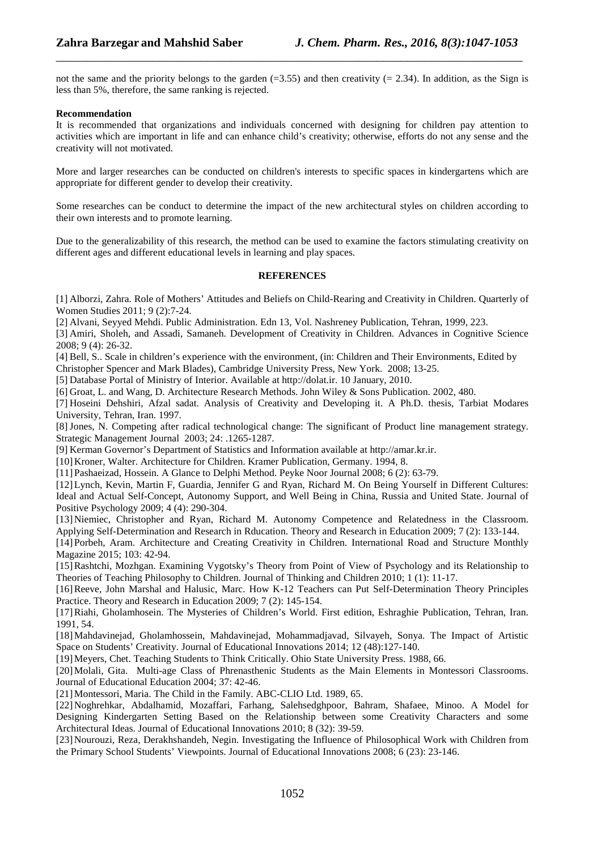not the same and the priority belongs to the garden  $(=3.55)$  and then creativity  $(=2.34)$ . In addition, as the Sign is less than 5%, therefore, the same ranking is rejected.

\_\_\_\_\_\_\_\_\_\_\_\_\_\_\_\_\_\_\_\_\_\_\_\_\_\_\_\_\_\_\_\_\_\_\_\_\_\_\_\_\_\_\_\_\_\_\_\_\_\_\_\_\_\_\_\_\_\_\_\_\_\_\_\_\_\_\_\_\_\_\_\_\_\_\_\_\_

## **Recommendation**

It is recommended that organizations and individuals concerned with designing for children pay attention to activities which are important in life and can enhance child's creativity; otherwise, efforts do not any sense and the creativity will not motivated.

More and larger researches can be conducted on children's interests to specific spaces in kindergartens which are appropriate for different gender to develop their creativity.

Some researches can be conduct to determine the impact of the new architectural styles on children according to their own interests and to promote learning.

Due to the generalizability of this research, the method can be used to examine the factors stimulating creativity on different ages and different educational levels in learning and play spaces.

## **REFERENCES**

[1] Alborzi, Zahra. Role of Mothers' Attitudes and Beliefs on Child-Rearing and Creativity in Children. Quarterly of Women Studies 2011; 9 (2):7-24.

[2] Alvani, Seyyed Mehdi. Public Administration. Edn 13, Vol. Nashreney Publication, Tehran, 1999, 223.

[3] Amiri, Sholeh, and Assadi, Samaneh. Development of Creativity in Children. Advances in Cognitive Science 2008; 9 (4): 26-32.

[4] Bell, S.. Scale in children's experience with the environment, (in: Children and Their Environments, Edited by

Christopher Spencer and Mark Blades), Cambridge University Press, New York. 2008; 13-25. [5] Database Portal of Ministry of Interior. Available at http://dolat.ir. 10 January, 2010.

[6] Groat, L. and Wang, D. Architecture Research Methods. John Wiley & Sons Publication. 2002, 480.

[7] Hoseini Dehshiri, Afzal sadat. Analysis of Creativity and Developing it. A Ph.D. thesis, Tarbiat Modares University, Tehran, Iran. 1997.

[8]Jones, N. Competing after radical technological change: The significant of Product line management strategy. Strategic Management Journal 2003; 24: .1265-1287.

[9] Kerman Governor's Department of Statistics and Information available at http://amar.kr.ir.

[10]Kroner, Walter. Architecture for Children. Kramer Publication, Germany. 1994, 8.

[11]Pashaeizad, Hossein. A Glance to Delphi Method. Peyke Noor Journal 2008; 6 (2): 63-79.

[12]Lynch, Kevin, Martin F, Guardia, Jennifer G and Ryan, Richard M. On Being Yourself in Different Cultures: Ideal and Actual Self-Concept, Autonomy Support, and Well Being in China, Russia and United State. Journal of Positive Psychology 2009; 4 (4): 290-304.

[13]Niemiec, Christopher and Ryan, Richard M. Autonomy Competence and Relatedness in the Classroom. Applying Self-Determination and Research in Rducation. Theory and Research in Education 2009; 7 (2): 133-144.

[14]Porbeh, Aram. Architecture and Creating Creativity in Children. International Road and Structure Monthly Magazine 2015; 103: 42-94.

[15]Rashtchi, Mozhgan. Examining Vygotsky's Theory from Point of View of Psychology and its Relationship to Theories of Teaching Philosophy to Children. Journal of Thinking and Children 2010; 1 (1): 11-17.

[16]Reeve, John Marshal and Halusic, Marc. How K-12 Teachers can Put Self-Determination Theory Principles Practice. Theory and Research in Education 2009; 7 (2): 145-154.

[17]Riahi, Gholamhosein. The Mysteries of Children's World. First edition, Eshraghie Publication, Tehran, Iran. 1991, 54.

[18]Mahdavinejad, Gholamhossein, Mahdavinejad, Mohammadjavad, Silvayeh, Sonya. The Impact of Artistic Space on Students' Creativity. Journal of Educational Innovations 2014; 12 (48):127-140.

[19]Meyers, Chet. Teaching Students to Think Critically. Ohio State University Press. 1988, 66.

[20]Molali, Gita. Multi-age Class of Phrenasthenic Students as the Main Elements in Montessori Classrooms. Journal of Educational Education 2004; 37: 42-46.

[21] Montessori, Maria. The Child in the Family. ABC-CLIO Ltd. 1989, 65.

[22]Noghrehkar, Abdalhamid, Mozaffari, Farhang, Salehsedghpoor, Bahram, Shafaee, Minoo. A Model for Designing Kindergarten Setting Based on the Relationship between some Creativity Characters and some Architectural Ideas. Journal of Educational Innovations 2010; 8 (32): 39-59.

[23] Nourouzi, Reza, Derakhshandeh, Negin. Investigating the Influence of Philosophical Work with Children from the Primary School Students' Viewpoints. Journal of Educational Innovations 2008; 6 (23): 23-146.